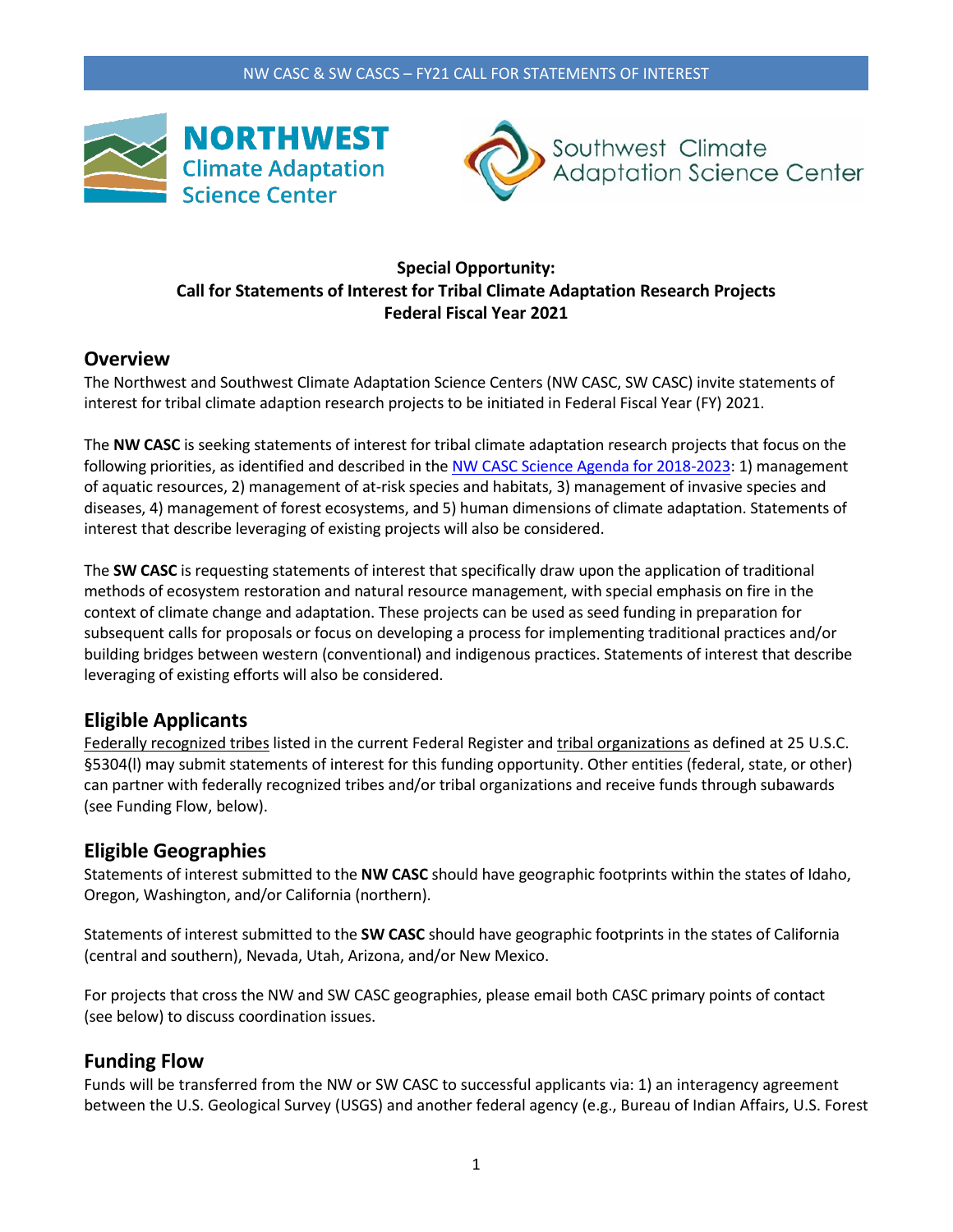



### **Special Opportunity: Call for Statements of Interest for Tribal Climate Adaptation Research Projects Federal Fiscal Year 2021**

# **Overview**

The Northwest and Southwest Climate Adaptation Science Centers (NW CASC, SW CASC) invite statements of interest for tribal climate adaption research projects to be initiated in Federal Fiscal Year (FY) 2021.

The **NW CASC** is seeking statements of interest for tribal climate adaptation research projects that focus on the following priorities, as identified and described in th[e NW CASC Science Agenda for 2018-2023:](https://nwcasc.uw.edu/science/science-agenda/) 1) management of aquatic resources, 2) management of at-risk species and habitats, 3) management of invasive species and diseases, 4) management of forest ecosystems, and 5) human dimensions of climate adaptation. Statements of interest that describe leveraging of existing projects will also be considered.

The **SW CASC** is requesting statements of interest that specifically draw upon the application of traditional methods of ecosystem restoration and natural resource management, with special emphasis on fire in the context of climate change and adaptation. These projects can be used as seed funding in preparation for subsequent calls for proposals or focus on developing a process for implementing traditional practices and/or building bridges between western (conventional) and indigenous practices. Statements of interest that describe leveraging of existing efforts will also be considered.

# **Eligible Applicants**

Federally recognized tribes listed in the current Federal Register and tribal organizations as defined at 25 U.S.C. §5304(I) may submit statements of interest for this funding opportunity. Other entities (federal, state, or other) can partner with federally recognized tribes and/or tribal organizations and receive funds through subawards (see Funding Flow, below).

# **Eligible Geographies**

Statements of interest submitted to the **NW CASC** should have geographic footprints within the states of Idaho, Oregon, Washington, and/or California (northern).

Statements of interest submitted to the **SW CASC** should have geographic footprints in the states of California (central and southern), Nevada, Utah, Arizona, and/or New Mexico.

For projects that cross the NW and SW CASC geographies, please email both CASC primary points of contact (see below) to discuss coordination issues.

# **Funding Flow**

Funds will be transferred from the NW or SW CASC to successful applicants via: 1) an interagency agreement between the U.S. Geological Survey (USGS) and another federal agency (e.g., Bureau of Indian Affairs, U.S. Forest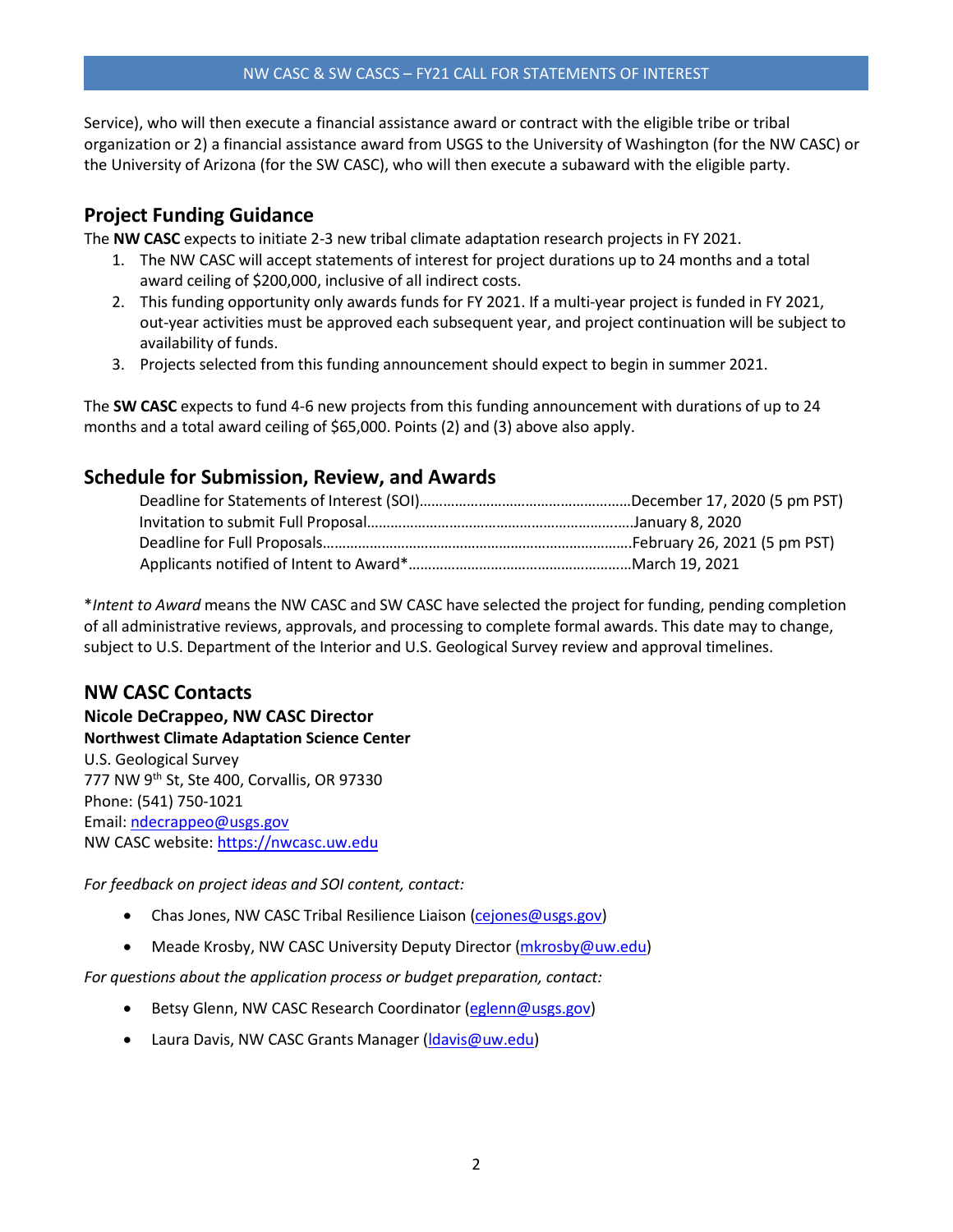### NW CASC & SW CASCS – FY21 CALL FOR STATEMENTS OF INTEREST

Service), who will then execute a financial assistance award or contract with the eligible tribe or tribal organization or 2) a financial assistance award from USGS to the University of Washington (for the NW CASC) or the University of Arizona (for the SW CASC), who will then execute a subaward with the eligible party.

# **Project Funding Guidance**

The **NW CASC** expects to initiate 2-3 new tribal climate adaptation research projects in FY 2021.

- 1. The NW CASC will accept statements of interest for project durations up to 24 months and a total award ceiling of \$200,000, inclusive of all indirect costs.
- 2. This funding opportunity only awards funds for FY 2021. If a multi-year project is funded in FY 2021, out-year activities must be approved each subsequent year, and project continuation will be subject to availability of funds.
- 3. Projects selected from this funding announcement should expect to begin in summer 2021.

The **SW CASC** expects to fund 4-6 new projects from this funding announcement with durations of up to 24 months and a total award ceiling of \$65,000. Points (2) and (3) above also apply.

# **Schedule for Submission, Review, and Awards**

\**Intent to Award* means the NW CASC and SW CASC have selected the project for funding, pending completion of all administrative reviews, approvals, and processing to complete formal awards. This date may to change, subject to U.S. Department of the Interior and U.S. Geological Survey review and approval timelines.

### **NW CASC Contacts**

**Nicole DeCrappeo, NW CASC Director Northwest Climate Adaptation Science Center** U.S. Geological Survey 777 NW 9th St, Ste 400, Corvallis, OR 97330 Phone: (541) 750-1021 Email: ndecrappeo@usgs.gov NW CASC website[: https://nwcasc.uw.edu](https://nwcasc.uw.edu/)

*For feedback on project ideas and SOI content, contact:*

- Chas Jones, NW CASC Tribal Resilience Liaison [\(cejones@usgs.gov\)](mailto:cejones@usgs.gov)
- Meade Krosby, NW CASC University Deputy Director [\(mkrosby@uw.edu\)](mailto:mkrosby@uw.edu)

*For questions about the application process or budget preparation, contact:*

- Betsy Glenn, NW CASC Research Coordinator [\(eglenn@usgs.gov\)](mailto:eglenn@usgs.gov)
- Laura Davis, NW CASC Grants Manager (Idavis@uw.edu)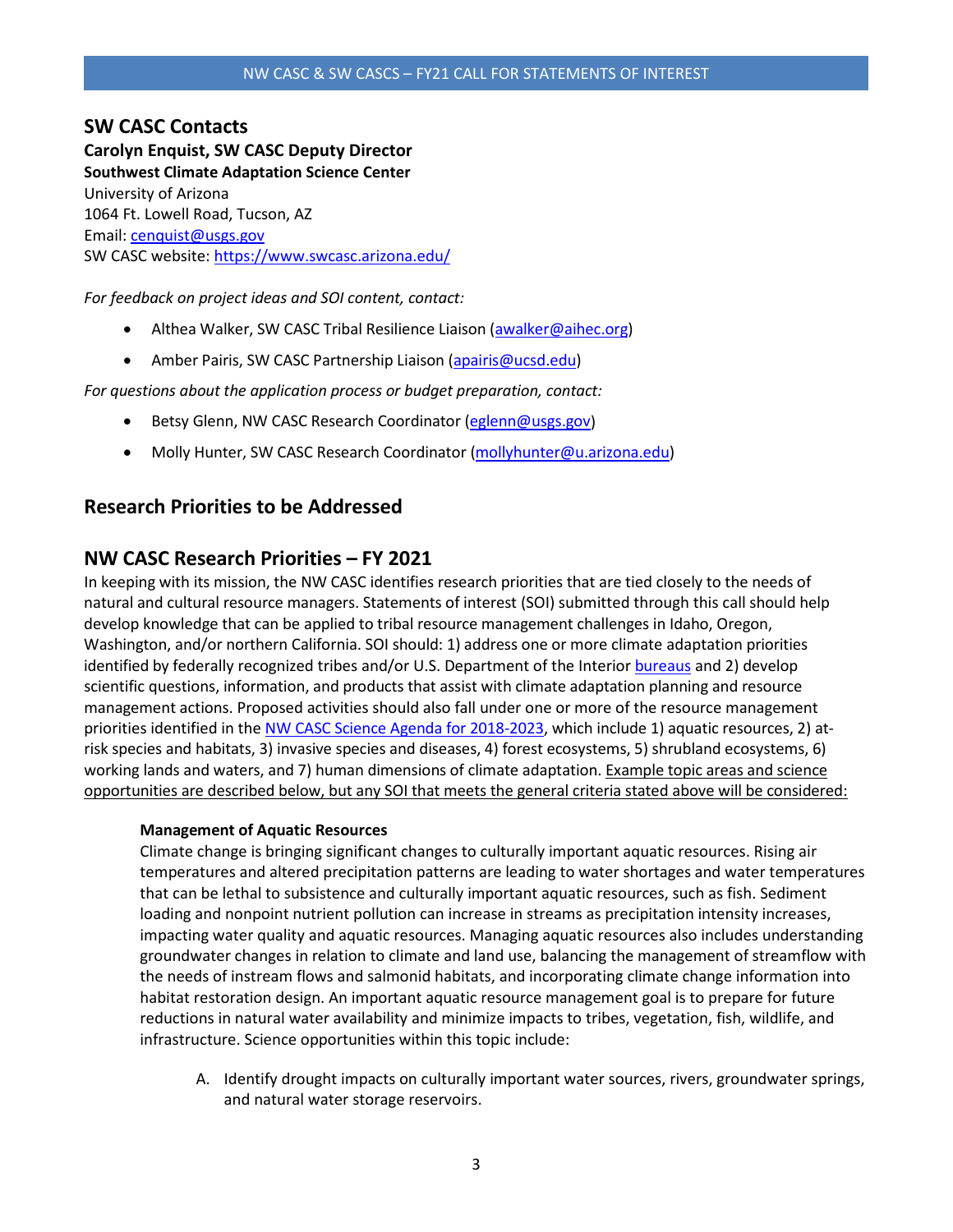### **SW CASC Contacts Carolyn Enquist, SW CASC Deputy Director Southwest Climate Adaptation Science Center** University of Arizona 1064 Ft. Lowell Road, Tucson, AZ Email: cenquist@usgs.gov SW CASC website[: https://www.swcasc.arizona.edu/](https://www.swcasc.arizona.edu/)

*For feedback on project ideas and SOI content, contact:*

- Althea Walker, SW CASC Tribal Resilience Liaison (awalker@aihec.org)
- Amber Pairis, SW CASC Partnership Liaison (apairis@ucsd.edu)

*For questions about the application process or budget preparation, contact:*

- Betsy Glenn, NW CASC Research Coordinator [\(eglenn@usgs.gov\)](mailto:eglenn@usgs.gov)
- Molly Hunter, SW CASC Research Coordinator [\(mollyhunter@u.arizona.edu\)](mailto:mollyhunter@u.arizona.edu)

# **Research Priorities to be Addressed**

### **NW CASC Research Priorities – FY 2021**

In keeping with its mission, the NW CASC identifies research priorities that are tied closely to the needs of natural and cultural resource managers. Statements of interest (SOI) submitted through this call should help develop knowledge that can be applied to tribal resource management challenges in Idaho, Oregon, Washington, and/or northern California. SOI should: 1) address one or more climate adaptation priorities identified by federally recognized tribes and/or U.S. Department of the Interior [bureaus](https://www.doi.gov/bureaus) and 2) develop scientific questions, information, and products that assist with climate adaptation planning and resource management actions. Proposed activities should also fall under one or more of the resource management priorities identified in the [NW CASC Science Agenda for 2018-2023,](https://nwcasc.uw.edu/science/science-agenda/) which include 1) aquatic resources, 2) atrisk species and habitats, 3) invasive species and diseases, 4) forest ecosystems, 5) shrubland ecosystems, 6) working lands and waters, and 7) human dimensions of climate adaptation. Example topic areas and science opportunities are described below, but any SOI that meets the general criteria stated above will be considered:

#### **Management of Aquatic Resources**

Climate change is bringing significant changes to culturally important aquatic resources. Rising air temperatures and altered precipitation patterns are leading to water shortages and water temperatures that can be lethal to subsistence and culturally important aquatic resources, such as fish. Sediment loading and nonpoint nutrient pollution can increase in streams as precipitation intensity increases, impacting water quality and aquatic resources. Managing aquatic resources also includes understanding groundwater changes in relation to climate and land use, balancing the management of streamflow with the needs of instream flows and salmonid habitats, and incorporating climate change information into habitat restoration design. An important aquatic resource management goal is to prepare for future reductions in natural water availability and minimize impacts to tribes, vegetation, fish, wildlife, and infrastructure. Science opportunities within this topic include:

A. Identify drought impacts on culturally important water sources, rivers, groundwater springs, and natural water storage reservoirs.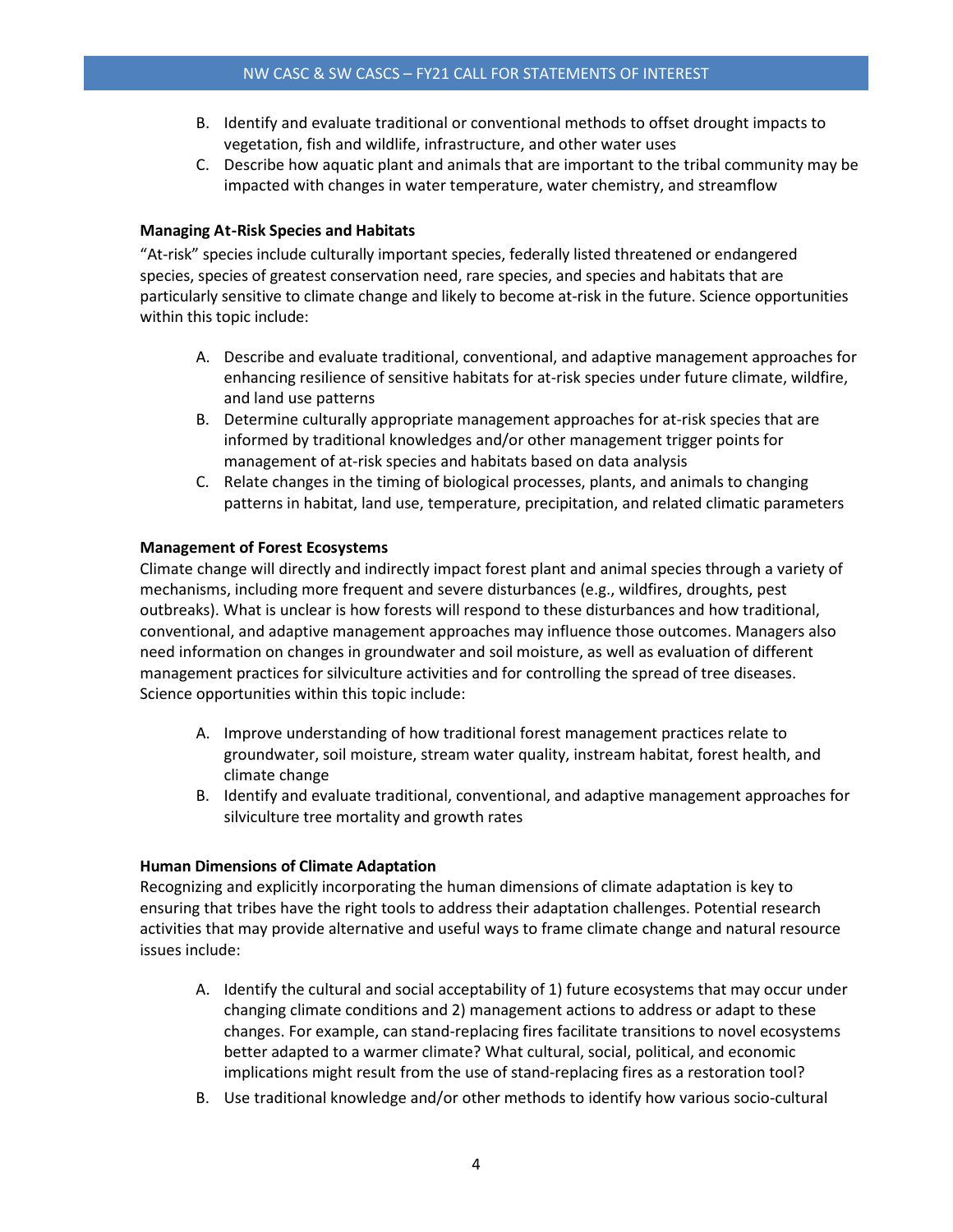- B. Identify and evaluate traditional or conventional methods to offset drought impacts to vegetation, fish and wildlife, infrastructure, and other water uses
- C. Describe how aquatic plant and animals that are important to the tribal community may be impacted with changes in water temperature, water chemistry, and streamflow

### **Managing At-Risk Species and Habitats**

"At-risk" species include culturally important species, federally listed threatened or endangered species, species of greatest conservation need, rare species, and species and habitats that are particularly sensitive to climate change and likely to become at-risk in the future. Science opportunities within this topic include:

- A. Describe and evaluate traditional, conventional, and adaptive management approaches for enhancing resilience of sensitive habitats for at-risk species under future climate, wildfire, and land use patterns
- B. Determine culturally appropriate management approaches for at-risk species that are informed by traditional knowledges and/or other management trigger points for management of at-risk species and habitats based on data analysis
- C. Relate changes in the timing of biological processes, plants, and animals to changing patterns in habitat, land use, temperature, precipitation, and related climatic parameters

### **Management of Forest Ecosystems**

Climate change will directly and indirectly impact forest plant and animal species through a variety of mechanisms, including more frequent and severe disturbances (e.g., wildfires, droughts, pest outbreaks). What is unclear is how forests will respond to these disturbances and how traditional, conventional, and adaptive management approaches may influence those outcomes. Managers also need information on changes in groundwater and soil moisture, as well as evaluation of different management practices for silviculture activities and for controlling the spread of tree diseases. Science opportunities within this topic include:

- A. Improve understanding of how traditional forest management practices relate to groundwater, soil moisture, stream water quality, instream habitat, forest health, and climate change
- B. Identify and evaluate traditional, conventional, and adaptive management approaches for silviculture tree mortality and growth rates

### **Human Dimensions of Climate Adaptation**

Recognizing and explicitly incorporating the human dimensions of climate adaptation is key to ensuring that tribes have the right tools to address their adaptation challenges. Potential research activities that may provide alternative and useful ways to frame climate change and natural resource issues include:

- A. Identify the cultural and social acceptability of 1) future ecosystems that may occur under changing climate conditions and 2) management actions to address or adapt to these changes. For example, can stand-replacing fires facilitate transitions to novel ecosystems better adapted to a warmer climate? What cultural, social, political, and economic implications might result from the use of stand-replacing fires as a restoration tool?
- B. Use traditional knowledge and/or other methods to identify how various socio-cultural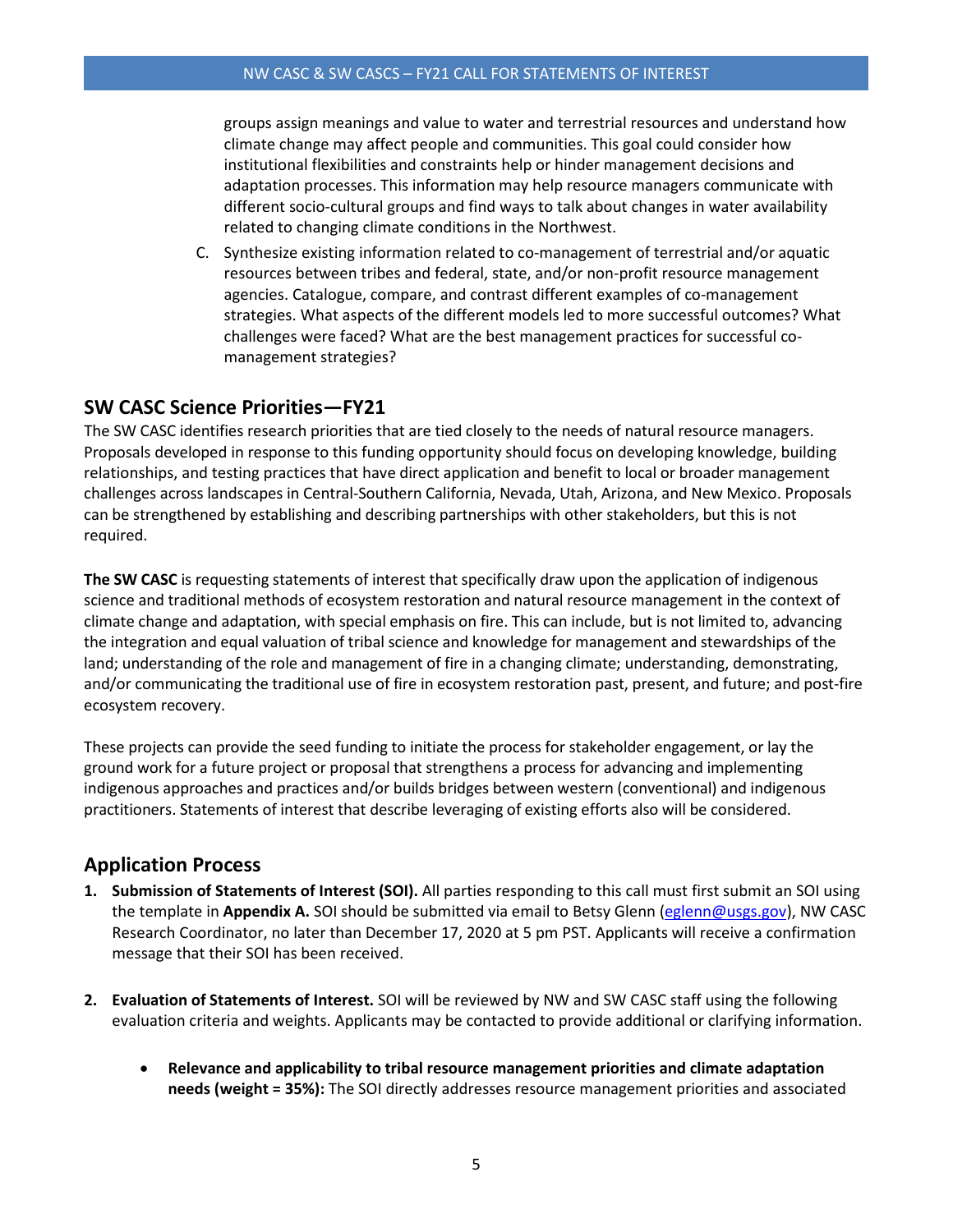groups assign meanings and value to water and terrestrial resources and understand how climate change may affect people and communities. This goal could consider how institutional flexibilities and constraints help or hinder management decisions and adaptation processes. This information may help resource managers communicate with different socio-cultural groups and find ways to talk about changes in water availability related to changing climate conditions in the Northwest.

C. Synthesize existing information related to co-management of terrestrial and/or aquatic resources between tribes and federal, state, and/or non-profit resource management agencies. Catalogue, compare, and contrast different examples of co-management strategies. What aspects of the different models led to more successful outcomes? What challenges were faced? What are the best management practices for successful comanagement strategies?

# **SW CASC Science Priorities—FY21**

The SW CASC identifies research priorities that are tied closely to the needs of natural resource managers. Proposals developed in response to this funding opportunity should focus on developing knowledge, building relationships, and testing practices that have direct application and benefit to local or broader management challenges across landscapes in Central-Southern California, Nevada, Utah, Arizona, and New Mexico. Proposals can be strengthened by establishing and describing partnerships with other stakeholders, but this is not required.

**The SW CASC** is requesting statements of interest that specifically draw upon the application of indigenous science and traditional methods of ecosystem restoration and natural resource management in the context of climate change and adaptation, with special emphasis on fire. This can include, but is not limited to, advancing the integration and equal valuation of tribal science and knowledge for management and stewardships of the land; understanding of the role and management of fire in a changing climate; understanding, demonstrating, and/or communicating the traditional use of fire in ecosystem restoration past, present, and future; and post-fire ecosystem recovery.

These projects can provide the seed funding to initiate the process for stakeholder engagement, or lay the ground work for a future project or proposal that strengthens a process for advancing and implementing indigenous approaches and practices and/or builds bridges between western (conventional) and indigenous practitioners. Statements of interest that describe leveraging of existing efforts also will be considered.

# **Application Process**

- **1. Submission of Statements of Interest (SOI).** All parties responding to this call must first submit an SOI using the template in **Appendix A.** SOI should be submitted via email to Betsy Glenn [\(eglenn@usgs.gov\)](mailto:eglenn@usgs.gov), NW CASC Research Coordinator, no later than December 17, 2020 at 5 pm PST. Applicants will receive a confirmation message that their SOI has been received.
- **2. Evaluation of Statements of Interest.** SOI will be reviewed by NW and SW CASC staff using the following evaluation criteria and weights. Applicants may be contacted to provide additional or clarifying information.
	- **Relevance and applicability to tribal resource management priorities and climate adaptation needs (weight = 35%):** The SOI directly addresses resource management priorities and associated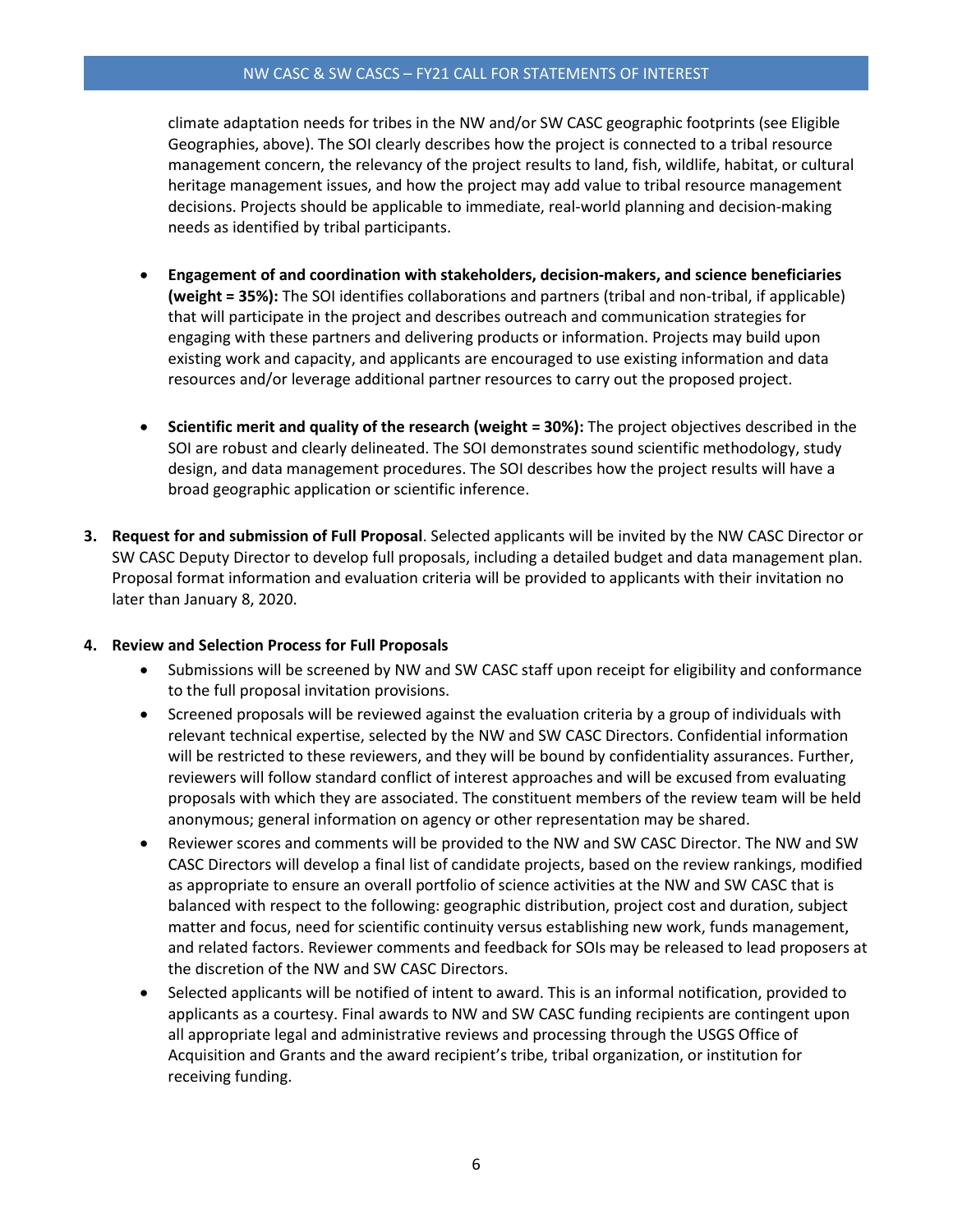#### NW CASC & SW CASCS – FY21 CALL FOR STATEMENTS OF INTEREST

climate adaptation needs for tribes in the NW and/or SW CASC geographic footprints (see Eligible Geographies, above). The SOI clearly describes how the project is connected to a tribal resource management concern, the relevancy of the project results to land, fish, wildlife, habitat, or cultural heritage management issues, and how the project may add value to tribal resource management decisions. Projects should be applicable to immediate, real-world planning and decision-making needs as identified by tribal participants.

- **Engagement of and coordination with stakeholders, decision-makers, and science beneficiaries (weight = 35%):** The SOI identifies collaborations and partners (tribal and non-tribal, if applicable) that will participate in the project and describes outreach and communication strategies for engaging with these partners and delivering products or information. Projects may build upon existing work and capacity, and applicants are encouraged to use existing information and data resources and/or leverage additional partner resources to carry out the proposed project.
- **Scientific merit and quality of the research (weight = 30%):** The project objectives described in the SOI are robust and clearly delineated. The SOI demonstrates sound scientific methodology, study design, and data management procedures. The SOI describes how the project results will have a broad geographic application or scientific inference.
- **3. Request for and submission of Full Proposal**. Selected applicants will be invited by the NW CASC Director or SW CASC Deputy Director to develop full proposals, including a detailed budget and data management plan. Proposal format information and evaluation criteria will be provided to applicants with their invitation no later than January 8, 2020.

### **4. Review and Selection Process for Full Proposals**

- Submissions will be screened by NW and SW CASC staff upon receipt for eligibility and conformance to the full proposal invitation provisions.
- Screened proposals will be reviewed against the evaluation criteria by a group of individuals with relevant technical expertise, selected by the NW and SW CASC Directors. Confidential information will be restricted to these reviewers, and they will be bound by confidentiality assurances. Further, reviewers will follow standard conflict of interest approaches and will be excused from evaluating proposals with which they are associated. The constituent members of the review team will be held anonymous; general information on agency or other representation may be shared.
- Reviewer scores and comments will be provided to the NW and SW CASC Director. The NW and SW CASC Directors will develop a final list of candidate projects, based on the review rankings, modified as appropriate to ensure an overall portfolio of science activities at the NW and SW CASC that is balanced with respect to the following: geographic distribution, project cost and duration, subject matter and focus, need for scientific continuity versus establishing new work, funds management, and related factors. Reviewer comments and feedback for SOIs may be released to lead proposers at the discretion of the NW and SW CASC Directors.
- Selected applicants will be notified of intent to award. This is an informal notification, provided to applicants as a courtesy. Final awards to NW and SW CASC funding recipients are contingent upon all appropriate legal and administrative reviews and processing through the USGS Office of Acquisition and Grants and the award recipient's tribe, tribal organization, or institution for receiving funding.